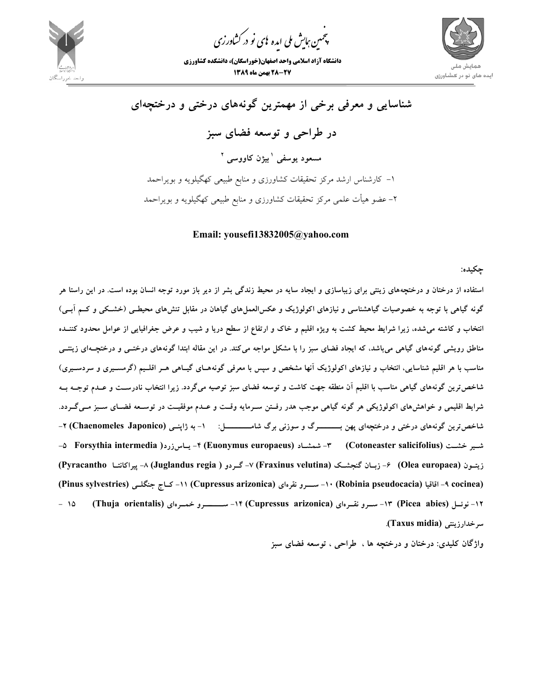

.<br>چمین *جایش ملی* ایده <sup>ب</sup>ای نو در کشاورزی ൕह

**دانشگاه آزاد اسلامي واحد اصفهان(خوراسگان)، دانشكده كشاورزي 28-27 بهمن ماه 1389**



**شناسايي و معرفي برخي از مهمترين گونههاي درختي و درختچهاي در طراحي و توسعه فضاي سبز <sup>2</sup> بيژن كاووسي <sup>1</sup> مسعود يوسفي** -1 كارشناس ارشد مركز تحقيقات كشاورزي و منابع طبيعي كهگيلويه و بويراحمد -2 عضو هيأت علمي مركز تحقيقات كشاورزي و منابع طبيعي كهگيلويه و بويراحمد

**Email: yousefi13832005@yahoo.com** 

**چكيده:**

استفاده از درختان و درختچههای زینتی برای زیباسازی و ایجاد سایه در محیط زندگی بشر از دیر باز مورد توجه انسان بوده است. در این راستا هر گونه گیاهی با توجه به خصوصیات گیاهشناسی و نیازهای اکولوژیک و عکس|لعمل۵ای گیاهان در مقابل تنش۵ای محیطـی (خشـکی و کــم آبــی) انتخاب و کاشته میشده، زیرا شرایط محیط کشت به ویژه اقلیم و خاک و ارتفاع از سطح دریا و شیب و عرض جغرافیایی از عوامل محدود کننــده مناطق رویشی گونههای گیاهی میباشد، که ایجاد فضای سبز را با مشکل مواجه میکند. در این مقاله ابتدا گونههای درختمی و درختچــهای زینتــی مناسب با هر اقلیم شناسایی، انتخاب و نیازهای اکولوژیک آنها مشخص و سپس با معرفی گونههـای گیــاهی هــر اقلــیم (گرمســیری و سردســیری) شاخص ترین گونههای گیاهی مناسب با اقلیم آن منطقه جهت کاشت و توسعه فضای سبز توصیه میگردد. زیرا انتخاب نادرسـت و عــدم توجــه بــه شرایط اقلیمی و خواهشهای اکولوژیکی هر گونه گیاهی موجب هدر رفــتن ســرمایه وقــت و عــدم موفقیــت در توســعه فضــای ســبز مــیگــردد. شاخص ترین گونههای درختی و درختچهای پهن بـــــــــــرگ و سوزنی برگ شامــــــــــــــل: ١- به ژاپنــی (Chaenomeles Japonico) ٢-**-5 Forsythia intermedia )يـاسزرد -4) Euonymus europaeus) شمشـاد -3) Cotoneaster salicifolius) خشـت شـير (Pyracantho پيراكانتـا -8) Juglandus regia ) گـردو -7) Fraxinus velutina) گنجشـك زبـان -6) Olea europaea) زيتـون (Pinus sylvestries) جنگلـي كـاج -11) Cupressus arizonica) نقرهاي ســرو -10) Robinia pseudocacia) اقاقيا -9 cocinea) - 15 (Thuja orientalis) خمــرهاي ســــــرو -14) Cupressus arizonica) نقــرهاي ســرو -13) Picea abies) نوئــل -12 .(Taxus midia) سرخدارزينتي**

**واژگان كليدي: درختان و درختچه ها ، طراحي ، توسعه فضاي سبز**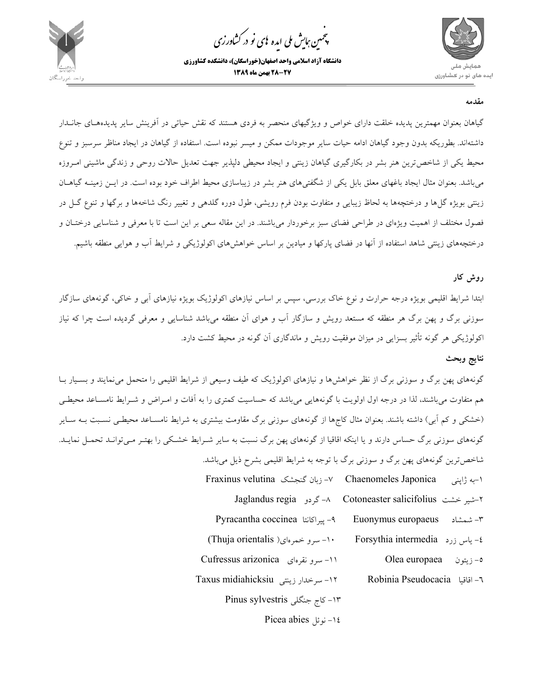

مین ہایش ملی ایده <sup>ب</sup>ای نو در کشاورزی ൕह ،<br>پې

**دانشگاه آزاد اسلامي واحد اصفهان(خوراسگان)، دانشكده كشاورزي 28-27 بهمن ماه 1389**



#### **مقدمه**

گياهان بعنوان مهمترين پديده خلقت داراي خواص و ويژگيهاي منحصر به فردي هستند كه نقش حياتي در آفرينش ساير پديدههـاي جانـدار داشتهاند. بطوريكه بدون وجود گياهان ادامه حيات ساير موجودات ممكن و ميسر نبوده است. استفاده از گياهان در ايجاد مناظر سرسبز و تنوع محيط يكي از شاخصترين هنر بشر در بكارگيري گياهان زينتي و ايجاد محيطي دلپذير جهت تعديل حالات روحي و زندگي ماشيني امـروزه ميباشد. بعنوان مثال ايجاد باغهاي معلق بابل يكي از شگفتيهاي هنر بشر در زيباسازي محيط اطراف خود بوده است. در ايـن زمينـه گياهـان زينتي بويژه گلها و درختچهها به لحاظ زيبايي و متفاوت بودن فرم رويشي، طول دوره گلدهي و تغيير رنگ شاخهها و برگها و تنوع گـل در فصول مختلف از اهميت ويژهاي در طراحي فضاي سبز برخوردار ميباشند. در اين مقاله سعي بر اين است تا با معرفي و شناسايي درختـان و درختچههاي زينتي شاهد استفاده از آنها در فضاي پاركها و ميادين بر اساس خواهشهاي اكولوژيكي و شرايط آب و هوايي منطقه باشيم.

### **روش كار**

ابتدا شرايط اقليمي بويژه درجه حرارت و نوع خاك بررسي، سپس بر اساس نيازهاي اكولوژيك بويژه نيازهاي آبي و خاكي، گونههاي سازگار سوزني برگ و پهن برگ هر منطقه كه مستعد رويش و سازگار آب و هواي آن منطقه ميباشد شناسايي و معرفي گرديده است چرا كه نياز اكولوژيكي هر گونه تأثير بسزايي در ميزان موفقيت رويش و ماندگاري آن گونه در محيط كشت دارد.

### **نتايج وبحث**

گونههاي پهن برگ و سوزني برگ از نظر خواهشها و نيازهاي اكولوژيك كه طيف وسيعي از شرايط اقليمي را متحمل مينمايند و بسـيار بـا هم متفاوت ميباشند، لذا در درجه اول اولويت با گونههايي ميباشد كه حساسيت كمتري را به آفات و امـراض و شـرايط نامسـاعد محيطـي (خشكي و كم آبي) داشته باشند. بعنوان مثال كاجها از گونههاي سوزني برگ مقاومت بيشتري به شرايط نامسـاعد محيطـي نسـبت بـه سـاير گونههاي سوزني برگ حساس دارند و يا اينكه اقاقيا از گونههاي پهن برگ نسبت به ساير شـرايط خشـكي را بهتـر مـيتوانـد تحمـل نمايـد. شاخصترين گونههاي پهن برگ و سوزني برگ با توجه به شرايط اقليمي بشرح ذيل ميباشد.

|                                            | ۱–به ژاپنی                                                          |
|--------------------------------------------|---------------------------------------------------------------------|
|                                            | ۲–شیر خشت   Cotoneaster salicifolius     ۸– گر دو   Jaglandus regia |
| ۹– پیراکانتا  Pyracantha coccinea          | Euonymus europaeus - شمشاد                                          |
| (Thuja orientalis )حسرو خمرهای (           | <b>Forsythia intermedia</b> باس زرد <b>Forsythia</b>                |
| Cufressus arizonica $\omega$ ا- سرو نقرهای | 0- زيتون     Olea europaea                                          |
| ١٢- سرخدار زينتي Taxus midiahicksiu        | Robinia Pseudocacia - اقاقيا                                        |
| Pinus sylvestris جنگلی Pinus sylvestris    |                                                                     |
|                                            |                                                                     |

Picea abies نوئل -14